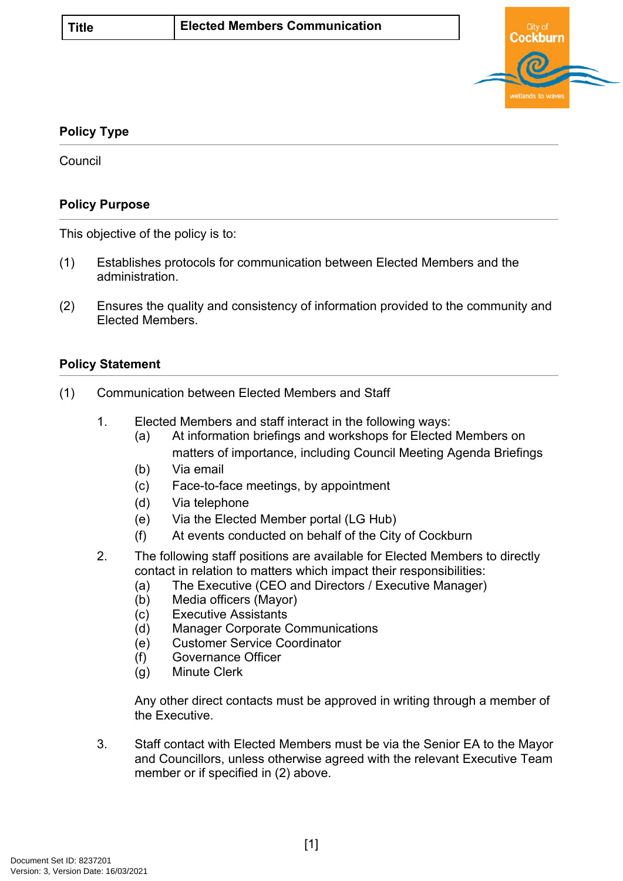

## **Policy Type**

**Council** 

## **Policy Purpose**

This objective of the policy is to:

- (1) Establishes protocols for communication between Elected Members and the administration.
- (2) Ensures the quality and consistency of information provided to the community and Elected Members.

## **[Policy Statement](#page-0-0)**

- <span id="page-0-0"></span>(1) Communication between Elected Members and Staff
	- 1. Elected Members and staff interact in the following ways:
		- (a) At information briefings and workshops for Elected Members on matters of importance, including Council Meeting Agenda Briefings
		- (b) Via email
		- (c) Face-to-face meetings, by appointment
		- (d) Via telephone
		- (e) Via the Elected Member portal (LG Hub)
		- (f) At events conducted on behalf of the City of Cockburn
	- 2. The following staff positions are available for Elected Members to directly contact in relation to matters which impact their responsibilities:
		- (a) The Executive (CEO and Directors / Executive Manager)
		- (b) Media officers (Mayor)
		- (c) Executive Assistants
		- (d) Manager Corporate Communications
		- (e) Customer Service Coordinator
		- (f) Governance Officer
		- (g) Minute Clerk

Any other direct contacts must be approved in writing through a member of the Executive.

3. Staff contact with Elected Members must be via the Senior EA to the Mayor and Councillors, unless otherwise agreed with the relevant Executive Team member or if specified in (2) above.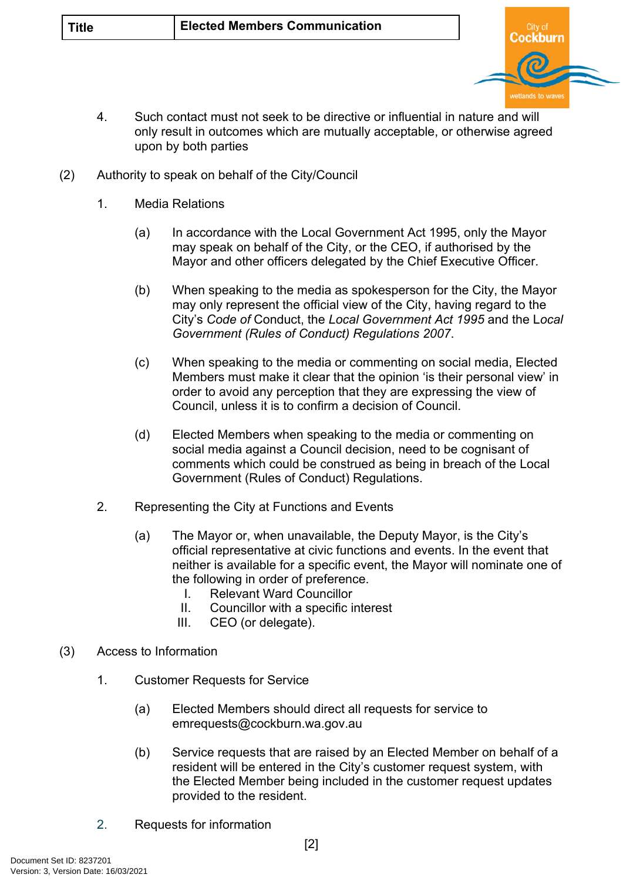

- 4. Such contact must not seek to be directive or influential in nature and will only result in outcomes which are mutually acceptable, or otherwise agreed upon by both parties
- (2) Authority to speak on behalf of the City/Council
	- 1. Media Relations
		- (a) In accordance with the Local Government Act 1995, only the Mayor may speak on behalf of the City, or the CEO, if authorised by the Mayor and other officers delegated by the Chief Executive Officer.
		- (b) When speaking to the media as spokesperson for the City, the Mayor may only represent the official view of the City, having regard to the City's *Code of* Conduct, the *Local Government Act 1995* and the L*ocal Government (Rules of Conduct) Regulations 2007*.
		- (c) When speaking to the media or commenting on social media, Elected Members must make it clear that the opinion 'is their personal view' in order to avoid any perception that they are expressing the view of Council, unless it is to confirm a decision of Council.
		- (d) Elected Members when speaking to the media or commenting on social media against a Council decision, need to be cognisant of comments which could be construed as being in breach of the Local Government (Rules of Conduct) Regulations.
	- 2. Representing the City at Functions and Events
		- (a) The Mayor or, when unavailable, the Deputy Mayor, is the City's official representative at civic functions and events. In the event that neither is available for a specific event, the Mayor will nominate one of the following in order of preference.
			- I. Relevant Ward Councillor
			- II. Councillor with a specific interest
			- III. CEO (or delegate).
- (3) Access to Information
	- 1. Customer Requests for Service
		- (a) Elected Members should direct all requests for service to [emrequests@cockburn.wa.gov.au](mailto:emrequests@cockburn.wa.gov.au)
		- (b) Service requests that are raised by an Elected Member on behalf of a resident will be entered in the City's customer request system, with the Elected Member being included in the customer request updates provided to the resident.
	- 2. Requests for information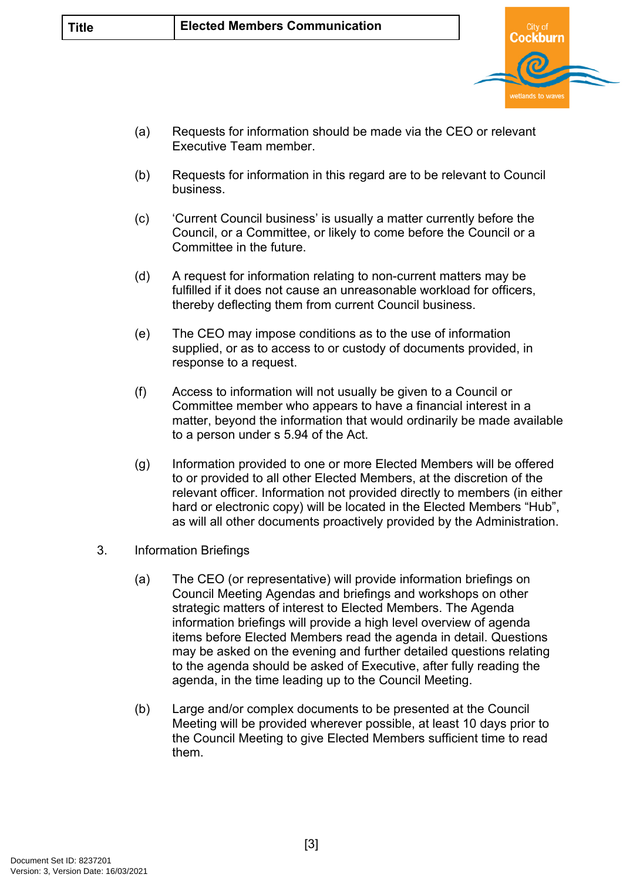

- (a) Requests for information should be made via the CEO or relevant Executive Team member.
- (b) Requests for information in this regard are to be relevant to Council business.
- (c) 'Current Council business' is usually a matter currently before the Council, or a Committee, or likely to come before the Council or a Committee in the future.
- (d) A request for information relating to non-current matters may be fulfilled if it does not cause an unreasonable workload for officers, thereby deflecting them from current Council business.
- (e) The CEO may impose conditions as to the use of information supplied, or as to access to or custody of documents provided, in response to a request.
- (f) Access to information will not usually be given to a Council or Committee member who appears to have a financial interest in a matter, beyond the information that would ordinarily be made available to a person under s 5.94 of the Act.
- (g) Information provided to one or more Elected Members will be offered to or provided to all other Elected Members, at the discretion of the relevant officer. Information not provided directly to members (in either hard or electronic copy) will be located in the Elected Members "Hub", as will all other documents proactively provided by the Administration.
- 3. Information Briefings
	- (a) The CEO (or representative) will provide information briefings on Council Meeting Agendas and briefings and workshops on other strategic matters of interest to Elected Members. The Agenda information briefings will provide a high level overview of agenda items before Elected Members read the agenda in detail. Questions may be asked on the evening and further detailed questions relating to the agenda should be asked of Executive, after fully reading the agenda, in the time leading up to the Council Meeting.
	- (b) Large and/or complex documents to be presented at the Council Meeting will be provided wherever possible, at least 10 days prior to the Council Meeting to give Elected Members sufficient time to read them.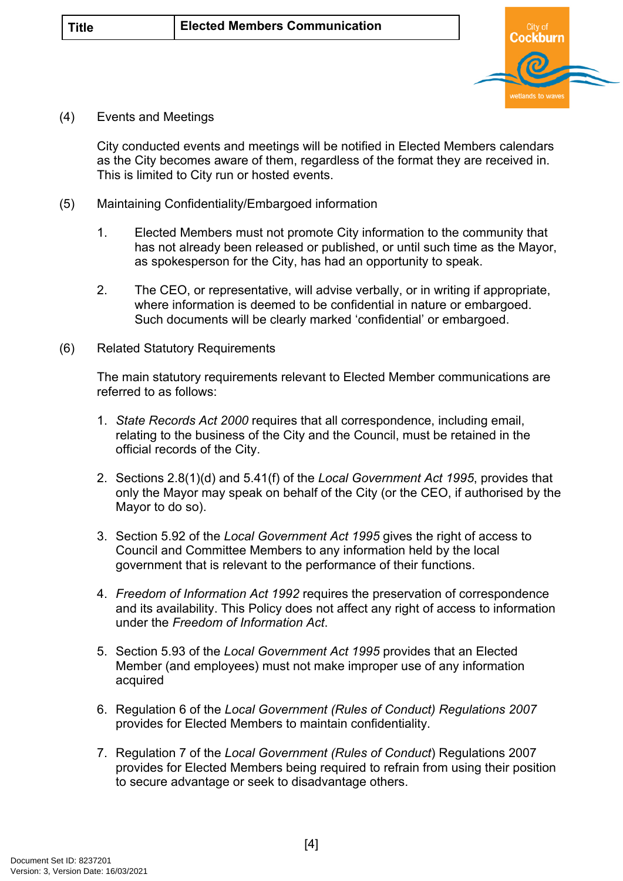

(4) Events and Meetings

City conducted events and meetings will be notified in Elected Members calendars as the City becomes aware of them, regardless of the format they are received in. This is limited to City run or hosted events.

- (5) Maintaining Confidentiality/Embargoed information
	- 1. Elected Members must not promote City information to the community that has not already been released or published, or until such time as the Mayor, as spokesperson for the City, has had an opportunity to speak.
	- 2. The CEO, or representative, will advise verbally, or in writing if appropriate, where information is deemed to be confidential in nature or embargoed. Such documents will be clearly marked 'confidential' or embargoed.
- (6) Related Statutory Requirements

The main statutory requirements relevant to Elected Member communications are referred to as follows:

- 1. *State Records Act 2000* requires that all correspondence, including email, relating to the business of the City and the Council, must be retained in the official records of the City.
- 2. Sections 2.8(1)(d) and 5.41(f) of the *Local Government Act 1995*, provides that only the Mayor may speak on behalf of the City (or the CEO, if authorised by the Mayor to do so).
- 3. Section 5.92 of the *Local Government Act 1995* gives the right of access to Council and Committee Members to any information held by the local government that is relevant to the performance of their functions.
- 4. *Freedom of Information Act 1992* requires the preservation of correspondence and its availability. This Policy does not affect any right of access to information under the *Freedom of Information Act*.
- 5. Section 5.93 of the *Local Government Act 1995* provides that an Elected Member (and employees) must not make improper use of any information acquired
- 6. Regulation 6 of the *Local Government (Rules of Conduct) Regulations 2007*  provides for Elected Members to maintain confidentiality.
- 7. Regulation 7 of the *Local Government (Rules of Conduct*) Regulations 2007 provides for Elected Members being required to refrain from using their position to secure advantage or seek to disadvantage others.